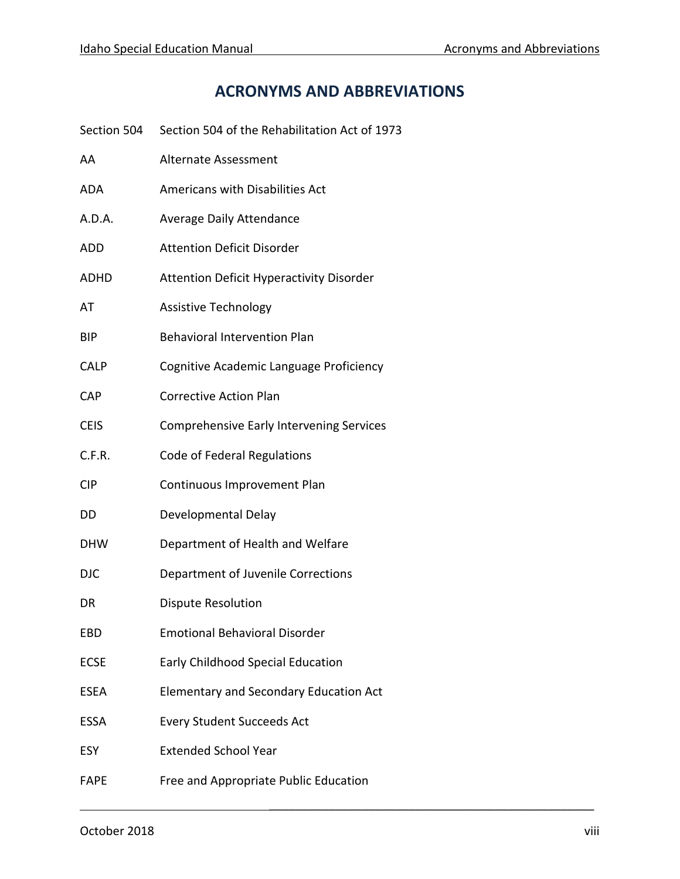## **ACRONYMS AND ABBREVIATIONS**

| Section 504 | Section 504 of the Rehabilitation Act of 1973   |
|-------------|-------------------------------------------------|
| AA          | <b>Alternate Assessment</b>                     |
| ADA         | Americans with Disabilities Act                 |
| A.D.A.      | Average Daily Attendance                        |
| ADD         | <b>Attention Deficit Disorder</b>               |
| ADHD        | <b>Attention Deficit Hyperactivity Disorder</b> |
| AT          | <b>Assistive Technology</b>                     |
| BIP         | <b>Behavioral Intervention Plan</b>             |
| <b>CALP</b> | Cognitive Academic Language Proficiency         |
| CAP         | <b>Corrective Action Plan</b>                   |
| <b>CEIS</b> | <b>Comprehensive Early Intervening Services</b> |
| C.F.R.      | Code of Federal Regulations                     |
| CIP         | Continuous Improvement Plan                     |
| DD          | Developmental Delay                             |
| DHW         | Department of Health and Welfare                |
| <b>DJC</b>  | Department of Juvenile Corrections              |
| DR          | <b>Dispute Resolution</b>                       |
| EBD         | <b>Emotional Behavioral Disorder</b>            |
| <b>ECSE</b> | Early Childhood Special Education               |
| ESEA        | <b>Elementary and Secondary Education Act</b>   |
| ESSA        | <b>Every Student Succeeds Act</b>               |
| ESY         | <b>Extended School Year</b>                     |
| <b>FAPE</b> | Free and Appropriate Public Education           |

 $\overline{\phantom{a}}$  , and the contract of the contract of the contract of the contract of the contract of the contract of the contract of the contract of the contract of the contract of the contract of the contract of the contrac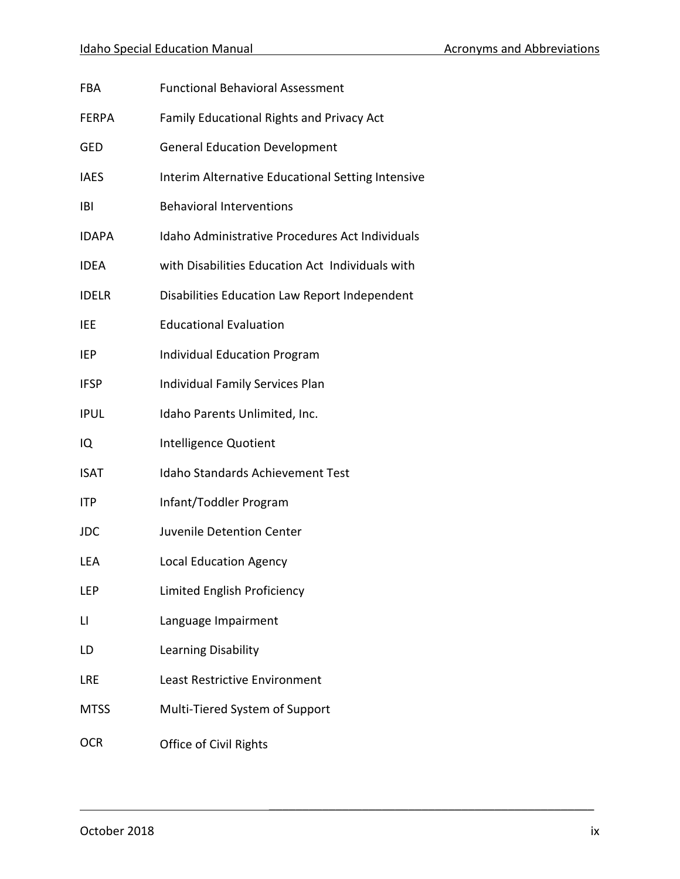| FBA         | <b>Functional Behavioral Assessment</b>                |
|-------------|--------------------------------------------------------|
| FERPA       | Family Educational Rights and Privacy Act              |
| GED         | <b>General Education Development</b>                   |
| <b>IAES</b> | Interim Alternative Educational Setting Intensive      |
| IBI         | <b>Behavioral Interventions</b>                        |
| IDAPA       | <b>Idaho Administrative Procedures Act Individuals</b> |
| <b>IDEA</b> | with Disabilities Education Act Individuals with       |
| IDELR       | Disabilities Education Law Report Independent          |
| IEE         | <b>Educational Evaluation</b>                          |
| IEP         | <b>Individual Education Program</b>                    |
| <b>IFSP</b> | Individual Family Services Plan                        |
| IPUL        | Idaho Parents Unlimited, Inc.                          |
| IQ          | Intelligence Quotient                                  |
| ISAT        | Idaho Standards Achievement Test                       |
| ITP         | Infant/Toddler Program                                 |
| JDC         | Juvenile Detention Center                              |
| LEA         | <b>Local Education Agency</b>                          |
| LEP         | Limited English Proficiency                            |
| LI          | Language Impairment                                    |
| LD          | Learning Disability                                    |
| LRE         | Least Restrictive Environment                          |
| <b>MTSS</b> | Multi-Tiered System of Support                         |
| OCR         | Office of Civil Rights                                 |

 $\overline{\phantom{a}}$  , and the contract of the contract of the contract of the contract of the contract of the contract of the contract of the contract of the contract of the contract of the contract of the contract of the contrac